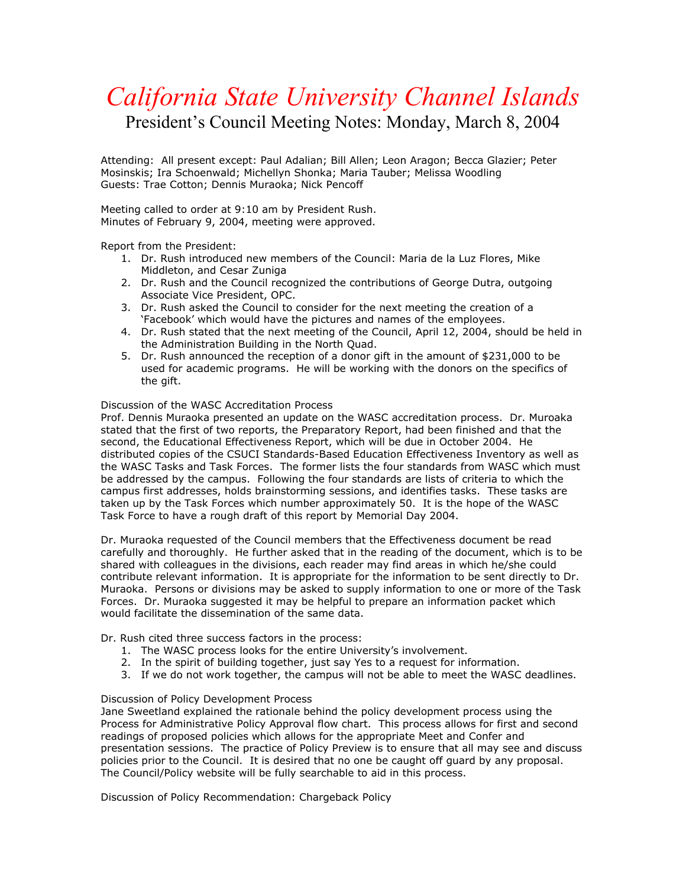## *California State University Channel Islands*

President's Council Meeting Notes: Monday, March 8, 2004

Attending: All present except: Paul Adalian; Bill Allen; Leon Aragon; Becca Glazier; Peter Mosinskis; Ira Schoenwald; Michellyn Shonka; Maria Tauber; Melissa Woodling Guests: Trae Cotton; Dennis Muraoka; Nick Pencoff

Meeting called to order at 9:10 am by President Rush. Minutes of February 9, 2004, meeting were approved.

Report from the President:

- 1. Dr. Rush introduced new members of the Council: Maria de la Luz Flores, Mike Middleton, and Cesar Zuniga
- 2. Dr. Rush and the Council recognized the contributions of George Dutra, outgoing Associate Vice President, OPC.
- 3. Dr. Rush asked the Council to consider for the next meeting the creation of a 'Facebook' which would have the pictures and names of the employees.
- 4. Dr. Rush stated that the next meeting of the Council, April 12, 2004, should be held in the Administration Building in the North Quad.
- 5. Dr. Rush announced the reception of a donor gift in the amount of \$231,000 to be used for academic programs. He will be working with the donors on the specifics of the gift.

## Discussion of the WASC Accreditation Process

Prof. Dennis Muraoka presented an update on the WASC accreditation process. Dr. Muroaka stated that the first of two reports, the Preparatory Report, had been finished and that the second, the Educational Effectiveness Report, which will be due in October 2004. He distributed copies of the CSUCI Standards-Based Education Effectiveness Inventory as well as the WASC Tasks and Task Forces. The former lists the four standards from WASC which must be addressed by the campus. Following the four standards are lists of criteria to which the campus first addresses, holds brainstorming sessions, and identifies tasks. These tasks are taken up by the Task Forces which number approximately 50. It is the hope of the WASC Task Force to have a rough draft of this report by Memorial Day 2004.

Dr. Muraoka requested of the Council members that the Effectiveness document be read carefully and thoroughly. He further asked that in the reading of the document, which is to be shared with colleagues in the divisions, each reader may find areas in which he/she could contribute relevant information. It is appropriate for the information to be sent directly to Dr. Muraoka. Persons or divisions may be asked to supply information to one or more of the Task Forces. Dr. Muraoka suggested it may be helpful to prepare an information packet which would facilitate the dissemination of the same data.

Dr. Rush cited three success factors in the process:

- 1. The WASC process looks for the entire University's involvement.
- 2. In the spirit of building together, just say Yes to a request for information.
- 3. If we do not work together, the campus will not be able to meet the WASC deadlines.

## Discussion of Policy Development Process

Jane Sweetland explained the rationale behind the policy development process using the Process for Administrative Policy Approval flow chart. This process allows for first and second readings of proposed policies which allows for the appropriate Meet and Confer and presentation sessions. The practice of Policy Preview is to ensure that all may see and discuss policies prior to the Council. It is desired that no one be caught off guard by any proposal. The Council/Policy website will be fully searchable to aid in this process.

Discussion of Policy Recommendation: Chargeback Policy